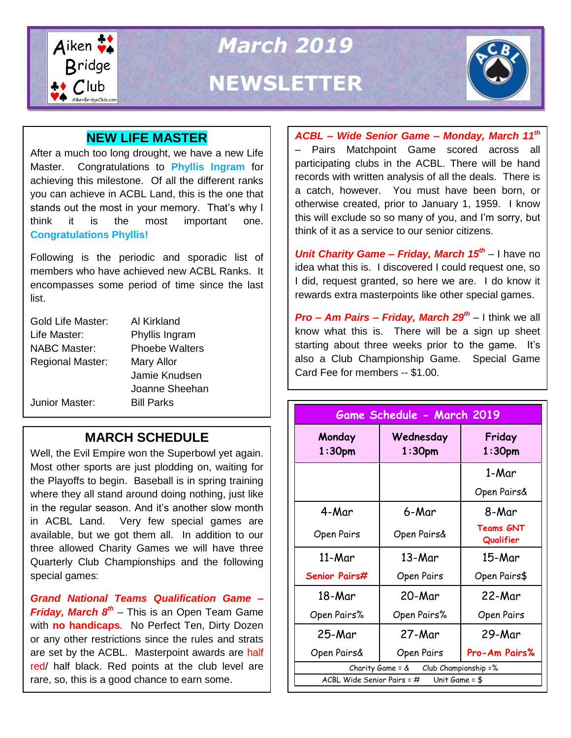

*March 2019* **NEWSLETTER**



## **NEW LIFE MASTER**

After a much too long drought, we have a new Life Master. Congratulations to **Phyllis Ingram** for achieving this milestone. Of all the different ranks you can achieve in ACBL Land, this is the one that stands out the most in your memory. That's why I think it is the most important one. **Congratulations Phyllis!**

Following is the periodic and sporadic list of members who have achieved new ACBL Ranks. It encompasses some period of time since the last list.

| Gold Life Master:       | Al Kirkland           |
|-------------------------|-----------------------|
| Life Master:            | Phyllis Ingram        |
| <b>NABC Master:</b>     | <b>Phoebe Walters</b> |
| <b>Regional Master:</b> | Mary Allor            |
|                         | Jamie Knudsen         |
|                         | Joanne Sheehan        |
| Junior Master:          | <b>Bill Parks</b>     |

## **MARCH SCHEDULE**

Well, the Evil Empire won the Superbowl yet again.<br>Meet ather aparts are just pladding an uvaiting far the Playotts to begin. Baseball is in spring training<br>where they all stand around doing nothing, just like Most other sports are just plodding on, waiting for the Playoffs to begin. Baseball is in spring training in the regular season. And it's another slow month in ACBL Land. Very few special games are available, but we got them all. In addition to our three allowed Charity Games we will have three Quarterly Club Championships and the following special games:

*Grand National Teams Qualification Game – Friday, March 8th* – This is an Open Team Game with **no handicaps**. No Perfect Ten, Dirty Dozen or any other restrictions since the rules and strats are set by the ACBL. Masterpoint awards are half red/ half black. Red points at the club level are rare, so, this is a good chance to earn some.

*ACBL – Wide Senior Game – Monday, March 11th* – Pairs Matchpoint Game scored across all participating clubs in the ACBL. There will be hand records with written analysis of all the deals. There is a catch, however. You must have been born, or otherwise created, prior to January 1, 1959. I know this will exclude so so many of you, and I'm sorry, but think of it as a service to our senior citizens.

*Unit Charity Game – Friday, March 15th* – I have no idea what this is. I discovered I could request one, so I did, request granted, so here we are. I do know it rewards extra masterpoints like other special games.

*Pro – Am Pairs – Friday, March 29th* – I think we all know what this is. There will be a sign up sheet starting about three weeks prior to the game. It's also a Club Championship Game. Special Game Card Fee for members -- \$1.00.

| Game Schedule - March 2019                      |                        |                               |  |  |
|-------------------------------------------------|------------------------|-------------------------------|--|--|
| Monday<br>$1:30$ pm                             | Wednesday<br>$1:30$ pm | Friday<br>$1:30$ pm           |  |  |
|                                                 |                        | 1-Mar                         |  |  |
|                                                 |                        | Open Pairs&                   |  |  |
| 4-Mar                                           | 6-Mar                  | 8-Mar                         |  |  |
| Open Pairs                                      | Open Pairs&            | <b>Teams GNT</b><br>Qualifier |  |  |
| 11-Mar                                          | 13-Mar                 | 15-Mar                        |  |  |
| Senior Pairs#                                   | Open Pairs             | Open Pairs\$                  |  |  |
| 18-Mar                                          | 20-Mar                 | 22-Mar                        |  |  |
| Open Pairs%                                     | Open Pairs%            | Open Pairs                    |  |  |
| 25-Mar                                          | 27-Mar                 | 29-Mar                        |  |  |
| Open Pairs&                                     | Open Pairs             | Pro-Am Pairs%                 |  |  |
| Charity Game = $\&$ Club Championship = %       |                        |                               |  |  |
| ACBL Wide Senior Pairs = $#$<br>Unit Game = $$$ |                        |                               |  |  |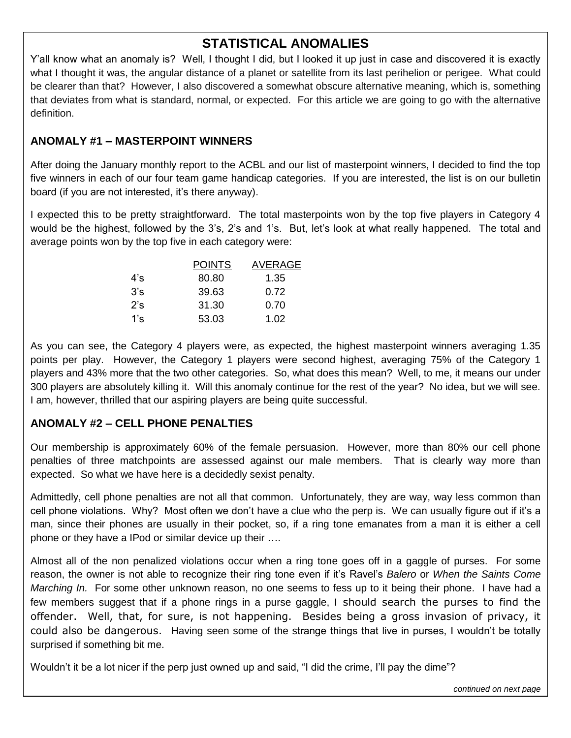## **STATISTICAL ANOMALIES**

Y'all know what an anomaly is? Well, I thought I did, but I looked it up just in case and discovered it is exactly what I thought it was, the angular distance of a planet or satellite from its last perihelion or perigee. What could be clearer than that? However, I also discovered a somewhat obscure alternative meaning, which is, something that deviates from what is standard, normal, or expected. For this article we are going to go with the alternative definition.

#### **ANOMALY #1 – MASTERPOINT WINNERS**

After doing the January monthly report to the ACBL and our list of masterpoint winners, I decided to find the top five winners in each of our four team game handicap categories. If you are interested, the list is on our bulletin board (if you are not interested, it's there anyway).

I expected this to be pretty straightforward. The total masterpoints won by the top five players in Category 4 would be the highest, followed by the 3's, 2's and 1's. But, let's look at what really happened. The total and average points won by the top five in each category were:

|     | <b>POINTS</b> | AVERAGE |
|-----|---------------|---------|
| 4's | 80.80         | 1.35    |
| 3's | 39.63         | 0.72    |
| 2's | 31.30         | 0.70    |
| 1's | 53.03         | 1.02    |

As you can see, the Category 4 players were, as expected, the highest masterpoint winners averaging 1.35 points per play. However, the Category 1 players were second highest, averaging 75% of the Category 1 players and 43% more that the two other categories. So, what does this mean? Well, to me, it means our under 300 players are absolutely killing it. Will this anomaly continue for the rest of the year? No idea, but we will see. I am, however, thrilled that our aspiring players are being quite successful.

### **ANOMALY #2 – CELL PHONE PENALTIES**

Our membership is approximately 60% of the female persuasion. However, more than 80% our cell phone penalties of three matchpoints are assessed against our male members. That is clearly way more than expected. So what we have here is a decidedly sexist penalty.

Admittedly, cell phone penalties are not all that common. Unfortunately, they are way, way less common than cell phone violations. Why? Most often we don't have a clue who the perp is. We can usually figure out if it's a man, since their phones are usually in their pocket, so, if a ring tone emanates from a man it is either a cell phone or they have a IPod or similar device up their ….

Almost all of the non penalized violations occur when a ring tone goes off in a gaggle of purses. For some reason, the owner is not able to recognize their ring tone even if it's Ravel's *Balero* or *When the Saints Come Marching In.* For some other unknown reason, no one seems to fess up to it being their phone. I have had a few members suggest that if a phone rings in a purse gaggle, I should search the purses to find the offender. Well, that, for sure, is not happening. Besides being a gross invasion of privacy, it could also be dangerous. Having seen some of the strange things that live in purses, I wouldn't be totally surprised if something bit me.

Wouldn't it be a lot nicer if the perp just owned up and said, "I did the crime, I'll pay the dime"?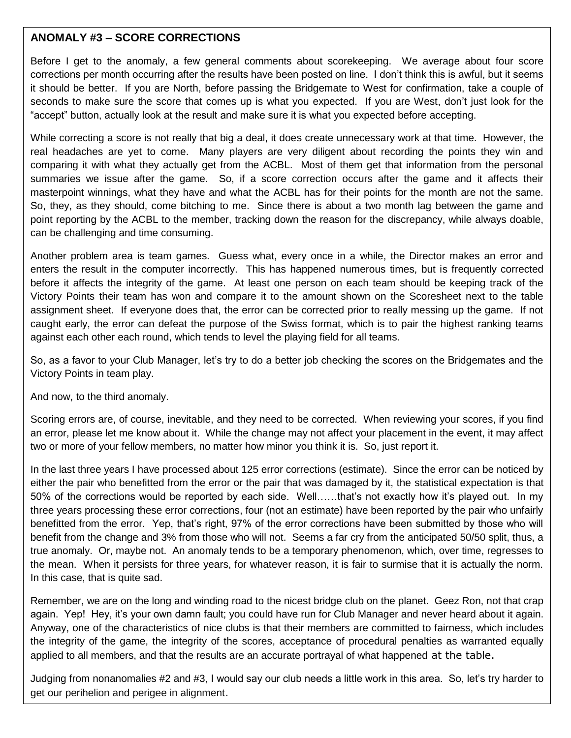#### **ANOMALY #3 – SCORE CORRECTIONS**

Before I get to the anomaly, a few general comments about scorekeeping. We average about four score corrections per month occurring after the results have been posted on line. I don't think this is awful, but it seems it should be better. If you are North, before passing the Bridgemate to West for confirmation, take a couple of seconds to make sure the score that comes up is what you expected. If you are West, don't just look for the "accept" button, actually look at the result and make sure it is what you expected before accepting.

 point reporting by the ACBL to the member, tracking down the reason for the discrepancy, while always doable, While correcting a score is not really that big a deal, it does create unnecessary work at that time. However, the real headaches are yet to come. Many players are very diligent about recording the points they win and comparing it with what they actually get from the ACBL. Most of them get that information from the personal summaries we issue after the game. So, if a score correction occurs after the game and it affects their masterpoint winnings, what they have and what the ACBL has for their points for the month are not the same. So, they, as they should, come bitching to me. Since there is about a two month lag between the game and can be challenging and time consuming.

Another problem area is team games. Guess what, every once in a while, the Director makes an error and enters the result in the computer incorrectly. This has happened numerous times, but is frequently corrected before it affects the integrity of the game. At least one person on each team should be keeping track of the Victory Points their team has won and compare it to the amount shown on the Scoresheet next to the table assignment sheet. If everyone does that, the error can be corrected prior to really messing up the game. If not caught early, the error can defeat the purpose of the Swiss format, which is to pair the highest ranking teams against each other each round, which tends to level the playing field for all teams.

So, as a favor to your Club Manager, let's try to do a better job checking the scores on the Bridgemates and the Victory Points in team play.

And now, to the third anomaly.

Scoring errors are, of course, inevitable, and they need to be corrected. When reviewing your scores, if you find an error, please let me know about it. While the change may not affect your placement in the event, it may affect two or more of your fellow members, no matter how minor you think it is. So, just report it.

In the last three years I have processed about 125 error corrections (estimate). Since the error can be noticed by either the pair who benefitted from the error or the pair that was damaged by it, the statistical expectation is that 50% of the corrections would be reported by each side. Well……that's not exactly how it's played out. In my three years processing these error corrections, four (not an estimate) have been reported by the pair who unfairly benefitted from the error. Yep, that's right, 97% of the error corrections have been submitted by those who will benefit from the change and 3% from those who will not. Seems a far cry from the anticipated 50/50 split, thus, a true anomaly. Or, maybe not. An anomaly tends to be a temporary phenomenon, which, over time, regresses to the mean. When it persists for three years, for whatever reason, it is fair to surmise that it is actually the norm. In this case, that is quite sad.

again. Yep! Hey, it's your own damn fault; you could have run for Club Manager and never heard about it again.<br>. Remember, we are on the long and winding road to the nicest bridge club on the planet. Geez Ron, not that crap Anyway, one of the characteristics of nice clubs is that their members are committed to fairness, which includes the integrity of the game, the integrity of the scores, acceptance of procedural penalties as warranted equally applied to all members, and that the results are an accurate portrayal of what happened at the table.

Judging from nonanomalies #2 and #3, I would say our club needs a little work in this area. So, let's try harder to get our perihelion and perigee in alignment.